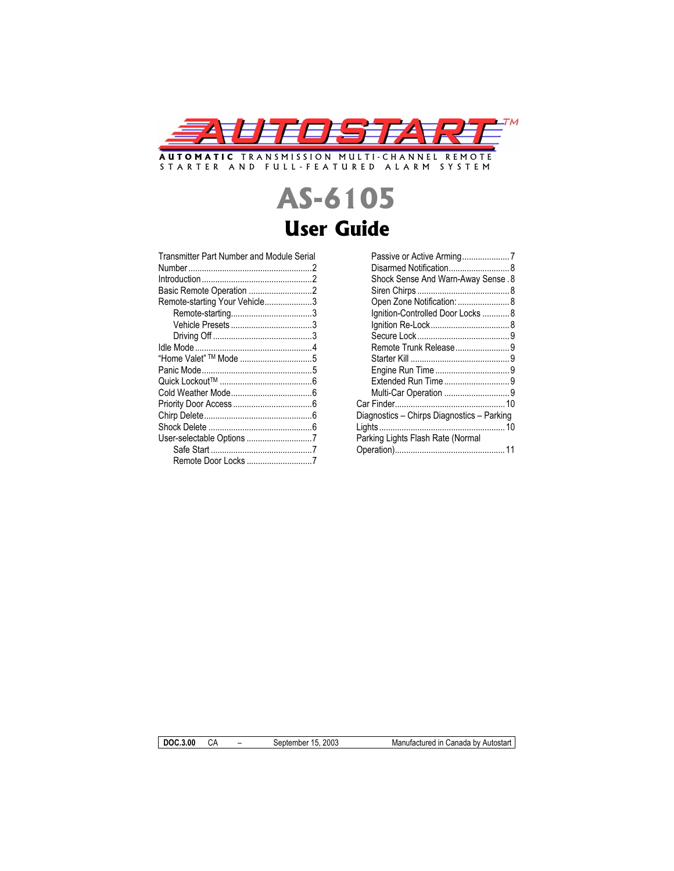

STARTER AND FULL-FEATURED ALARM SYSTEM

# **AS-6105 User Guide**

| Transmitter Part Number and Module Serial |  |
|-------------------------------------------|--|
|                                           |  |
|                                           |  |
|                                           |  |
| Basic Remote Operation 2                  |  |
| Remote-starting Your Vehicle3             |  |
|                                           |  |
|                                           |  |
|                                           |  |
|                                           |  |
| "Home Valet" ™ Mode 5                     |  |
|                                           |  |
|                                           |  |
|                                           |  |
|                                           |  |
|                                           |  |
|                                           |  |
|                                           |  |
|                                           |  |
|                                           |  |

| Passive or Active Arming7                  |  |
|--------------------------------------------|--|
| Disarmed Notification 8                    |  |
| <b>Shock Sense And Warn-Away Sense. 8</b>  |  |
|                                            |  |
| Open Zone Notification:  8                 |  |
| Ignition-Controlled Door Locks  8          |  |
|                                            |  |
|                                            |  |
| Remote Trunk Release9                      |  |
|                                            |  |
|                                            |  |
|                                            |  |
| Multi-Car Operation 9                      |  |
|                                            |  |
| Diagnostics - Chirps Diagnostics - Parking |  |
|                                            |  |
| Parking Lights Flash Rate (Normal          |  |
|                                            |  |

**DOC.3.00** CA – September 15, 2003 Manufactured in Canada by Autostart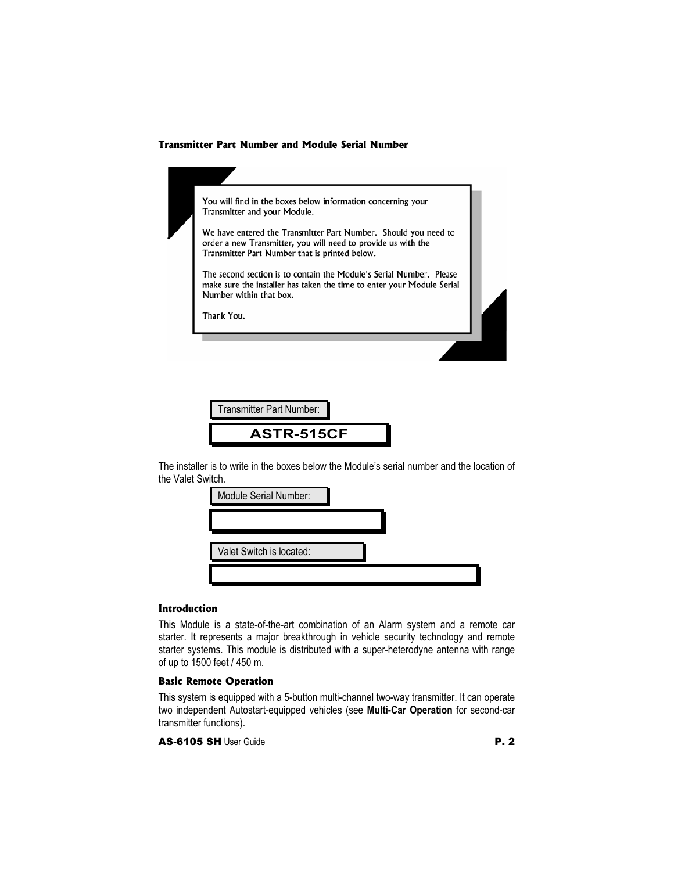## **Transmitter Part Number and Module Serial Number**

| You will find in the boxes below information concerning your<br>Transmitter and your Module.                                                                                       |  |
|------------------------------------------------------------------------------------------------------------------------------------------------------------------------------------|--|
| We have entered the Transmitter Part Number. Should you need to<br>order a new Transmitter, you will need to provide us with the<br>Transmitter Part Number that is printed below. |  |
| The second section is to contain the Module's Serial Number. Please<br>make sure the installer has taken the time to enter your Module Serial<br>Number within that box.           |  |
| Thank You.                                                                                                                                                                         |  |

| Transmitter Part Number: |  |
|--------------------------|--|
| <b>ASTR-515CF</b>        |  |

The installer is to write in the boxes below the Module's serial number and the location of the Valet Switch.

| Module Serial Number:    |  |
|--------------------------|--|
|                          |  |
| Valet Switch is located: |  |
|                          |  |

## **Introduction**

This Module is a state-of-the-art combination of an Alarm system and a remote car starter. It represents a major breakthrough in vehicle security technology and remote starter systems. This module is distributed with a super-heterodyne antenna with range of up to 1500 feet / 450 m.

## **Basic Remote Operation**

This system is equipped with a 5-button multi-channel two-way transmitter. It can operate two independent Autostart-equipped vehicles (see **Multi-Car Operation** for second-car transmitter functions).

AS-6105 SH User Guide **P. 2**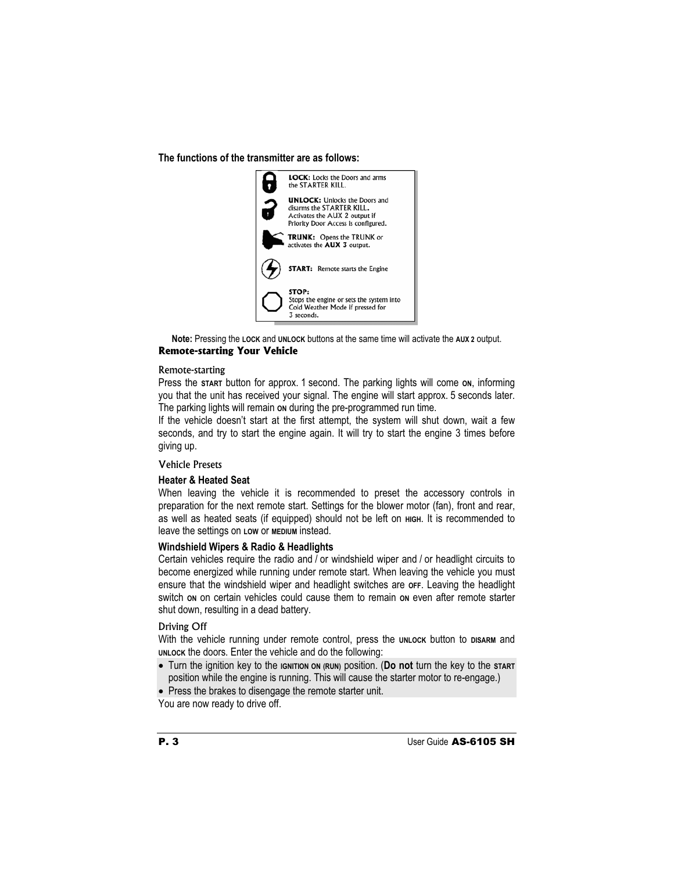**The functions of the transmitter are as follows:**



**Note:** Pressing the **LOCK** and **UNLOCK** buttons at the same time will activate the **AUX 2** output. **Remote-starting Your Vehicle**

#### Remote-starting

Press the start button for approx. 1 second. The parking lights will come on, informing you that the unit has received your signal. The engine will start approx. 5 seconds later. The parking lights will remain on during the pre-programmed run time.

If the vehicle doesn't start at the first attempt, the system will shut down, wait a few seconds, and try to start the engine again. It will try to start the engine 3 times before giving up.

## Vehicle Presets

#### **Heater & Heated Seat**

When leaving the vehicle it is recommended to preset the accessory controls in preparation for the next remote start. Settings for the blower motor (fan), front and rear, as well as heated seats (if equipped) should not be left on **HIGH**. It is recommended to leave the settings on **LOW** or **MEDIUM** instead.

## **Windshield Wipers & Radio & Headlights**

Certain vehicles require the radio and / or windshield wiper and / or headlight circuits to become energized while running under remote start. When leaving the vehicle you must ensure that the windshield wiper and headlight switches are **OFF**. Leaving the headlight switch on on certain vehicles could cause them to remain on even after remote starter shut down, resulting in a dead battery.

#### Driving Off

With the vehicle running under remote control, press the **UNLOCK** button to DISARM and **UNLOCK** the doors. Enter the vehicle and do the following:

x Turn the ignition key to the **IGNITION ON (RUN)** position. (**Do not** turn the key to the **START** position while the engine is running. This will cause the starter motor to re-engage.)

• Press the brakes to disengage the remote starter unit.

You are now ready to drive off.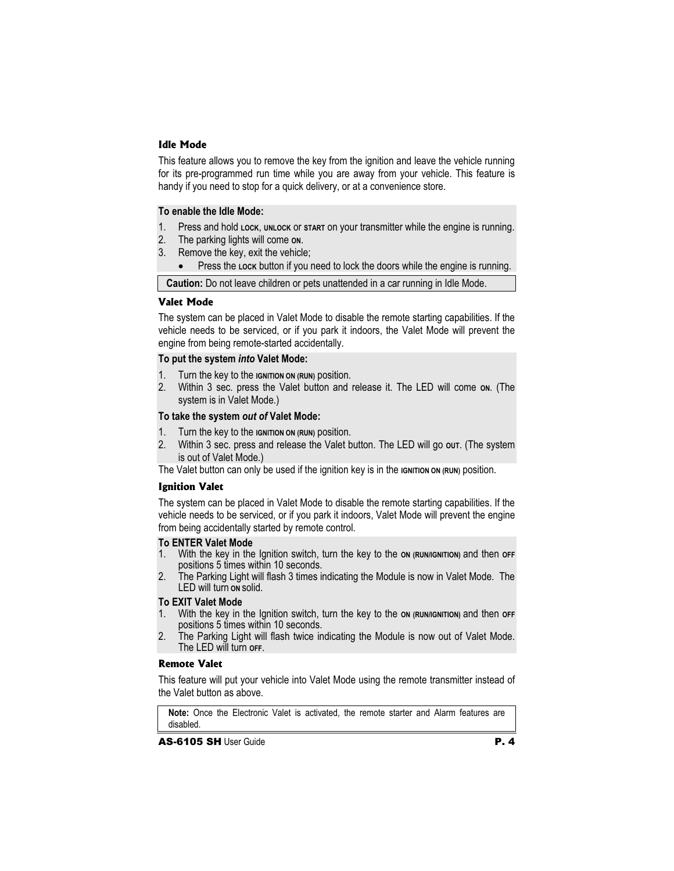## **Idle Mode**

This feature allows you to remove the key from the ignition and leave the vehicle running for its pre-programmed run time while you are away from your vehicle. This feature is handy if you need to stop for a quick delivery, or at a convenience store.

## **To enable the Idle Mode:**

- 1. Press and hold **LOCK**, **UNLOCK** or **START** on your transmitter while the engine is running.
- 2. The parking lights will come **ON**.
- 3. Remove the key, exit the vehicle;
	- Press the Lock button if you need to lock the doors while the engine is running.

**Caution:** Do not leave children or pets unattended in a car running in Idle Mode.

## **Valet Mode**

The system can be placed in Valet Mode to disable the remote starting capabilities. If the vehicle needs to be serviced, or if you park it indoors, the Valet Mode will prevent the engine from being remote-started accidentally.

## **To put the system** *into* **Valet Mode:**

- 1. Turn the key to the **IGNITION ON (RUN)** position.
- 2. Within 3 sec. press the Valet button and release it. The LED will come on. (The system is in Valet Mode.)

## **To take the system** *out of* **Valet Mode:**

- 1. Turn the key to the **IGNITION ON (RUN)** position.
- 2. Within 3 sec. press and release the Valet button. The LED will go out. (The system is out of Valet Mode.)
- The Valet button can only be used if the ignition key is in the **IGNITION** ON (RUN) position.

## **Ignition Valet**

The system can be placed in Valet Mode to disable the remote starting capabilities. If the vehicle needs to be serviced, or if you park it indoors, Valet Mode will prevent the engine from being accidentally started by remote control.

#### **To ENTER Valet Mode**

- 1. With the key in the Ignition switch, turn the key to the **ON (RUN/IGNITION)** and then **OFF**  positions 5 times within 10 seconds.
- 2. The Parking Light will flash 3 times indicating the Module is now in Valet Mode. The LED will turn **ON** solid.

#### **To EXIT Valet Mode**

- 1. With the key in the Ignition switch, turn the key to the **ON (RUN/IGNITION)** and then **OFF**  positions 5 times within 10 seconds.
- 2. The Parking Light will flash twice indicating the Module is now out of Valet Mode. The LED will turn **OFF**.

#### **Remote Valet**

This feature will put your vehicle into Valet Mode using the remote transmitter instead of the Valet button as above.

**Note:** Once the Electronic Valet is activated, the remote starter and Alarm features are disabled.

 $\overline{A}$ S-6105 SH User Guide  $\overline{P}$ . 4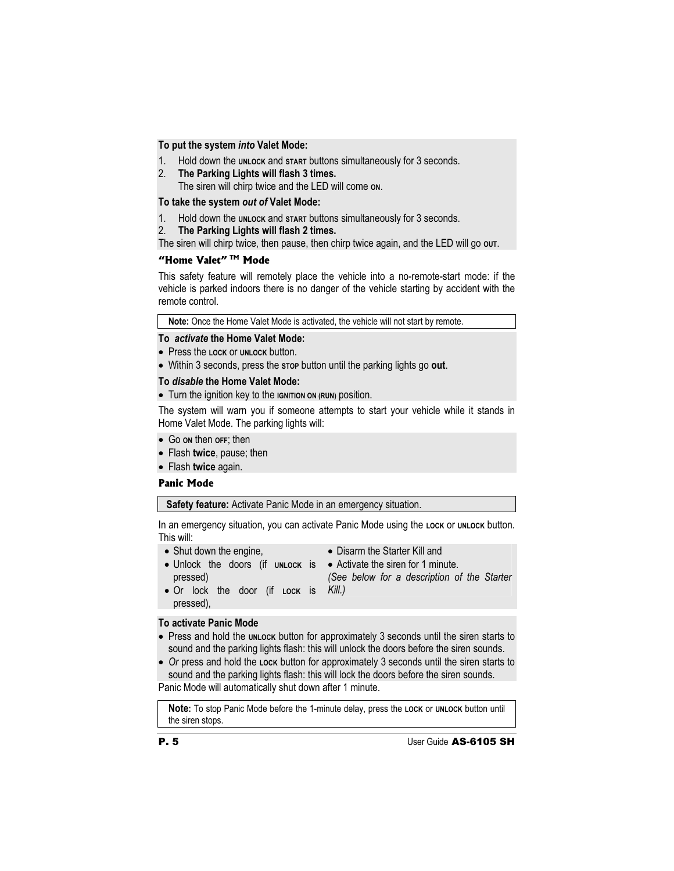## **To put the system** *into* **Valet Mode:**

- 1. Hold down the **UNLOCK** and **START** buttons simultaneously for 3 seconds.
- 2. **The Parking Lights will flash 3 times.**

The siren will chirp twice and the LED will come **ON**.

## **To take the system** *out of* **Valet Mode:**

- 1. Hold down the **UNLOCK** and **START** buttons simultaneously for 3 seconds.
- 2. **The Parking Lights will flash 2 times.**

The siren will chirp twice, then pause, then chirp twice again, and the LED will go out.

## **"Home Valet" TM Mode**

This safety feature will remotely place the vehicle into a no-remote-start mode: if the vehicle is parked indoors there is no danger of the vehicle starting by accident with the remote control.

**Note:** Once the Home Valet Mode is activated, the vehicle will not start by remote.

#### **To** *activate* **the Home Valet Mode:**

- x Press the **LOCK** or **UNLOCK** button.
- x Within 3 seconds, press the **STOP** button until the parking lights go **out**.

#### **To** *disable* **the Home Valet Mode:**

• Turn the ignition key to the **IGNITION ON (RUN)** position.

The system will warn you if someone attempts to start your vehicle while it stands in Home Valet Mode. The parking lights will:

- x Go **ON** then **OFF**; then
- x Flash **twice**, pause; then
- **Flash twice again.**

#### **Panic Mode**

**Safety feature:** Activate Panic Mode in an emergency situation.

In an emergency situation, you can activate Panic Mode using the Lock or unLock button. This will:

- $\bullet$  Shut down the engine,
- Disarm the Starter Kill and
- Unlock the doors (if un**Lock is** Activate the siren for 1 minute. pressed)
	- *(See below for a description of the Starter*
- x Or lock the door (if **LOCK** is *Kill.)* pressed),

## **To activate Panic Mode**

- Press and hold the **UNLOCK** button for approximately 3 seconds until the siren starts to sound and the parking lights flash: this will unlock the doors before the siren sounds.
- Or press and hold the **Lock** button for approximately 3 seconds until the siren starts to sound and the parking lights flash: this will lock the doors before the siren sounds. Panic Mode will automatically shut down after 1 minute.

**Note:** To stop Panic Mode before the 1-minute delay, press the **LOCK** or **UNLOCK** button until the siren stops.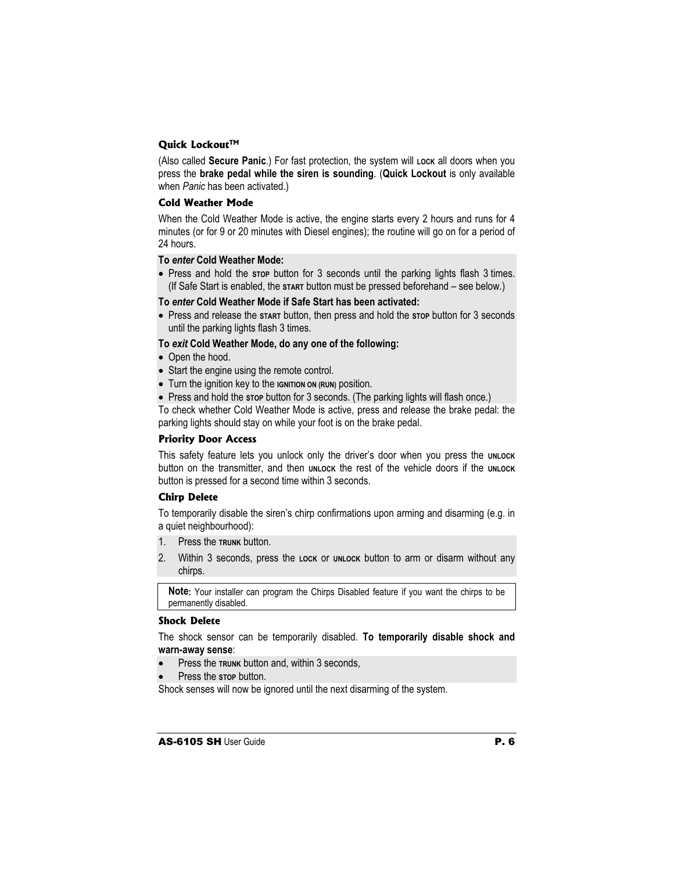## **Quick Lockout™**

(Also called **Secure Panic**.) For fast protection, the system will Lock all doors when you press the **brake pedal while the siren is sounding**. (**Quick Lockout** is only available when *Panic* has been activated.)

#### **Cold Weather Mode**

When the Cold Weather Mode is active, the engine starts every 2 hours and runs for 4 minutes (or for 9 or 20 minutes with Diesel engines); the routine will go on for a period of 24 hours.

## **To** *enter* **Cold Weather Mode:**

• Press and hold the stop button for 3 seconds until the parking lights flash 3 times. (If Safe Start is enabled, the **START** button must be pressed beforehand – see below*.*)

#### **To** *enter* **Cold Weather Mode if Safe Start has been activated:**

x Press and release the **START** button, then press and hold the **STOP** button for 3 seconds until the parking lights flash 3 times.

#### **To** *exit* **Cold Weather Mode, do any one of the following:**

- Open the hood.
- Start the engine using the remote control.
- Turn the ignition key to the **IGNITION ON (RUN)** position.
- Press and hold the stop button for 3 seconds. (The parking lights will flash once.)

To check whether Cold Weather Mode is active, press and release the brake pedal: the parking lights should stay on while your foot is on the brake pedal.

#### **Priority Door Access**

This safety feature lets you unlock only the driver's door when you press the **UNLOCK** button on the transmitter, and then **UNLOCK** the rest of the vehicle doors if the **UNLOCK** button is pressed for a second time within 3 seconds.

## **Chirp Delete**

To temporarily disable the siren's chirp confirmations upon arming and disarming (e.g. in a quiet neighbourhood):

- 1. Press the **TRUNK** button.
- 2. Within 3 seconds, press the **LOCK** or **UNLOCK** button to arm or disarm without any chirps.

**Note:** Your installer can program the Chirps Disabled feature if you want the chirps to be permanently disabled.

#### **Shock Delete**

The shock sensor can be temporarily disabled. **To temporarily disable shock and warn-away sense**:

- Press the **TRUNK** button and, within 3 seconds,
- Press the stop button.

Shock senses will now be ignored until the next disarming of the system.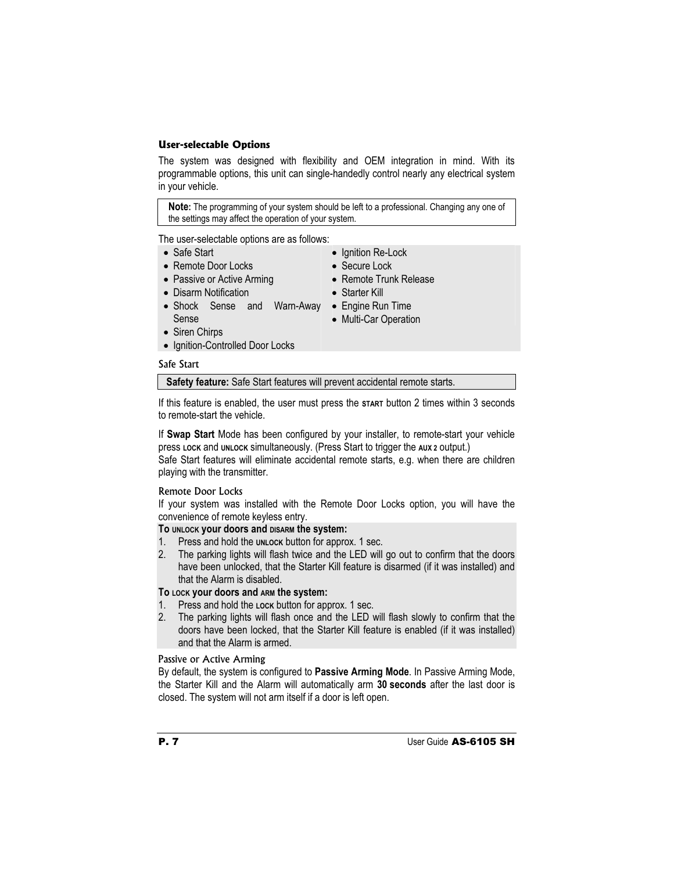## **User-selectable Options**

The system was designed with flexibility and OEM integration in mind. With its programmable options, this unit can single-handedly control nearly any electrical system in your vehicle.

**Note:** The programming of your system should be left to a professional. Changing any one of the settings may affect the operation of your system.

The user-selectable options are as follows:

- Safe Start
- Remote Door Locks
- Passive or Active Arming
- Disarm Notification
- Shock Sense and Warn-Away Engine Run Time Sense
- Starter Kill

• Ignition Re-Lock • Secure Lock

• Remote Trunk Release

- Multi-Car Operation
- Siren Chirps
- Ignition-Controlled Door Locks

## Safe Start

**Safety feature:** Safe Start features will prevent accidental remote starts.

If this feature is enabled, the user must press the **START** button 2 times within 3 seconds to remote-start the vehicle.

If **Swap Start** Mode has been configured by your installer, to remote-start your vehicle press **LOCK** and **UNLOCK** simultaneously. (Press Start to trigger the **AUX 2** output.)

Safe Start features will eliminate accidental remote starts, e.g. when there are children playing with the transmitter.

#### Remote Door Locks

If your system was installed with the Remote Door Locks option, you will have the convenience of remote keyless entry.

## **To UNLOCK your doors and DISARM the system:**

- 1. Press and hold the **UNLOCK** button for approx. 1 sec.
- 2. The parking lights will flash twice and the LED will go out to confirm that the doors have been unlocked, that the Starter Kill feature is disarmed (if it was installed) and that the Alarm is disabled.

## **To LOCK your doors and ARM the system:**

- 1. Press and hold the **Lock** button for approx. 1 sec.
- 2. The parking lights will flash once and the LED will flash slowly to confirm that the doors have been locked, that the Starter Kill feature is enabled (if it was installed) and that the Alarm is armed.

## Passive or Active Arming

By default, the system is configured to **Passive Arming Mode**. In Passive Arming Mode, the Starter Kill and the Alarm will automatically arm **30 seconds** after the last door is closed. The system will not arm itself if a door is left open.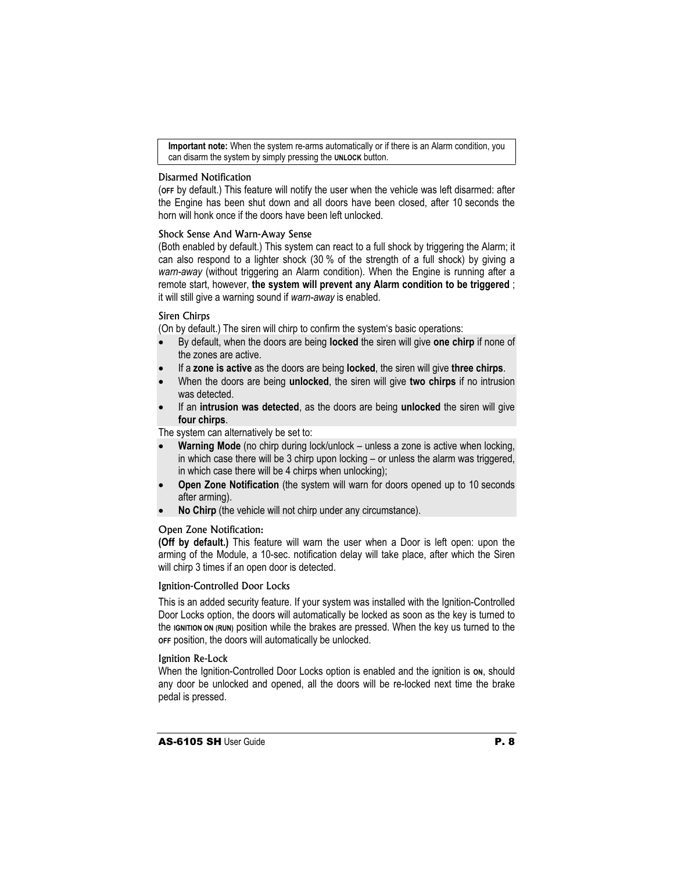**Important note:** When the system re-arms automatically or if there is an Alarm condition, you can disarm the system by simply pressing the **UNLOCK** button.

#### Disarmed Notification

(**OFF** by default.) This feature will notify the user when the vehicle was left disarmed: after the Engine has been shut down and all doors have been closed, after 10 seconds the horn will honk once if the doors have been left unlocked.

#### Shock Sense And Warn-Away Sense

(Both enabled by default.) This system can react to a full shock by triggering the Alarm; it can also respond to a lighter shock (30 % of the strength of a full shock) by giving a *warn-away* (without triggering an Alarm condition). When the Engine is running after a remote start, however, **the system will prevent any Alarm condition to be triggered** ; it will still give a warning sound if *warn-away* is enabled.

#### Siren Chirps

(On by default.) The siren will chirp to confirm the system's basic operations:

- x By default, when the doors are being **locked** the siren will give **one chirp** if none of the zones are active.
- x If a **zone is active** as the doors are being **locked**, the siren will give **three chirps**.
- x When the doors are being **unlocked**, the siren will give **two chirps** if no intrusion was detected.
- If an **intrusion was detected**, as the doors are being **unlocked** the siren will give **four chirps**.

The system can alternatively be set to:

- **Warning Mode** (no chirp during lock/unlock unless a zone is active when locking, in which case there will be 3 chirp upon locking – or unless the alarm was triggered, in which case there will be 4 chirps when unlocking);
- **Open Zone Notification** (the system will warn for doors opened up to 10 seconds after arming).
- **No Chirp** (the vehicle will not chirp under any circumstance).

#### Open Zone Notification:

**(Off by default.)** This feature will warn the user when a Door is left open: upon the arming of the Module, a 10-sec. notification delay will take place, after which the Siren will chirp 3 times if an open door is detected.

#### Ignition-Controlled Door Locks

This is an added security feature. If your system was installed with the Ignition-Controlled Door Locks option, the doors will automatically be locked as soon as the key is turned to the **IGNITION ON (RUN)** position while the brakes are pressed. When the key us turned to the **OFF** position, the doors will automatically be unlocked.

#### Ignition Re-Lock

When the Ignition-Controlled Door Locks option is enabled and the ignition is on, should any door be unlocked and opened, all the doors will be re-locked next time the brake pedal is pressed.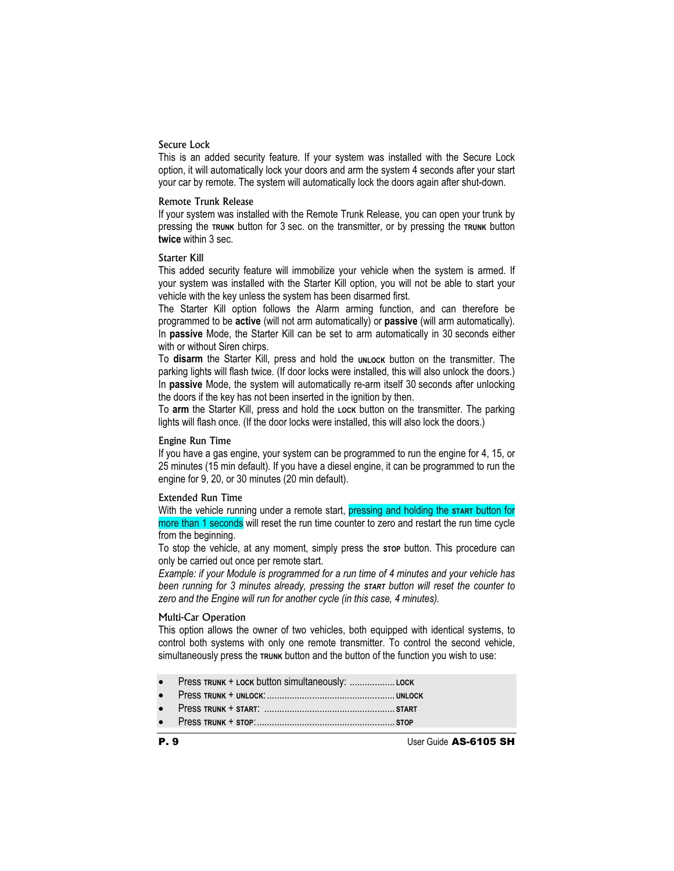## Secure Lock

This is an added security feature. If your system was installed with the Secure Lock option, it will automatically lock your doors and arm the system 4 seconds after your start your car by remote. The system will automatically lock the doors again after shut-down.

#### Remote Trunk Release

If your system was installed with the Remote Trunk Release, you can open your trunk by pressing the **TRUNK** button for 3 sec. on the transmitter, or by pressing the **TRUNK** button **twice** within 3 sec.

#### Starter Kill

This added security feature will immobilize your vehicle when the system is armed. If your system was installed with the Starter Kill option, you will not be able to start your vehicle with the key unless the system has been disarmed first.

The Starter Kill option follows the Alarm arming function, and can therefore be programmed to be **active** (will not arm automatically) or **passive** (will arm automatically). In **passive** Mode, the Starter Kill can be set to arm automatically in 30 seconds either with or without Siren chirps.

To disarm the Starter Kill, press and hold the **UNLOCK** button on the transmitter. The parking lights will flash twice. (If door locks were installed, this will also unlock the doors.) In **passive** Mode, the system will automatically re-arm itself 30 seconds after unlocking the doors if the key has not been inserted in the ignition by then.

To **arm** the Starter Kill, press and hold the **LOCK** button on the transmitter. The parking lights will flash once. (If the door locks were installed, this will also lock the doors.)

#### Engine Run Time

If you have a gas engine, your system can be programmed to run the engine for 4, 15, or 25 minutes (15 min default). If you have a diesel engine, it can be programmed to run the engine for 9, 20, or 30 minutes (20 min default).

#### Extended Run Time

With the vehicle running under a remote start, pressing and holding the **START** button for more than 1 seconds will reset the run time counter to zero and restart the run time cycle from the beginning.

To stop the vehicle, at any moment, simply press the **STOP** button. This procedure can only be carried out once per remote start.

*Example: if your Module is programmed for a run time of 4 minutes and your vehicle has been running for 3 minutes already, pressing the START button will reset the counter to zero and the Engine will run for another cycle (in this case, 4 minutes).* 

#### Multi-Car Operation

This option allows the owner of two vehicles, both equipped with identical systems, to control both systems with only one remote transmitter. To control the second vehicle, simultaneously press the **TRUNK** button and the button of the function you wish to use:

- x Press **TRUNK** + **LOCK** button simultaneously: .................. **LOCK**
- x Press **TRUNK** + **UNLOCK**:................................................... **UNLOCK**
- x Press **TRUNK** + **START**: .................................................... **START**
- x Press **TRUNK** + **STOP**:....................................................... **STOP**

P. 9 User Guide AS-6105 SH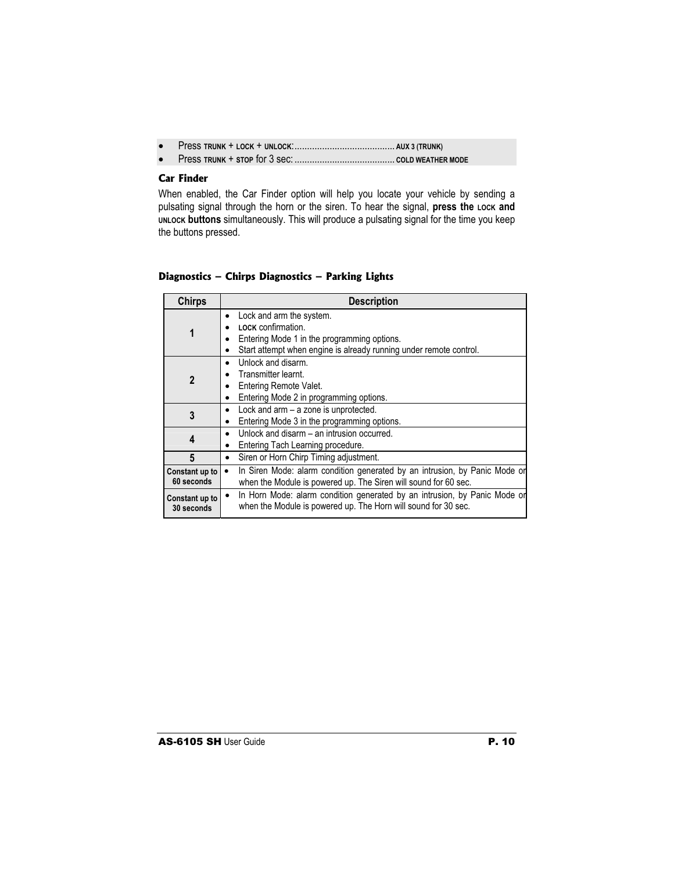- x Press **TRUNK** + **LOCK** + **UNLOCK**:........................................ **AUX 3 (TRUNK)**
- x Press **TRUNK** + **STOP** for 3 sec: ........................................ **COLD WEATHER MODE**

## **Car Finder**

When enabled, the Car Finder option will help you locate your vehicle by sending a pulsating signal through the horn or the siren. To hear the signal, press the Lock and **UNLOCK buttons** simultaneously. This will produce a pulsating signal for the time you keep the buttons pressed.

## **Diagnostics – Chirps Diagnostics – Parking Lights**

| <b>Chirps</b>                | <b>Description</b>                                                                                                                                                       |
|------------------------------|--------------------------------------------------------------------------------------------------------------------------------------------------------------------------|
| 1                            | Lock and arm the system.<br>٠<br>LOCK confirmation.<br>Entering Mode 1 in the programming options.<br>Start attempt when engine is already running under remote control. |
| $\mathbf{2}$                 | Unlock and disarm.<br>$\bullet$<br>Transmitter learnt.<br>Entering Remote Valet.<br>Entering Mode 2 in programming options.<br>٠                                         |
| 3                            | Lock and arm - a zone is unprotected.<br>٠<br>Entering Mode 3 in the programming options.                                                                                |
| 4                            | Unlock and disarm – an intrusion occurred.<br>$\bullet$<br>Entering Tach Learning procedure.                                                                             |
| 5                            | Siren or Horn Chirp Timing adjustment.<br>٠                                                                                                                              |
| Constant up to<br>60 seconds | In Siren Mode: alarm condition generated by an intrusion, by Panic Mode or<br>when the Module is powered up. The Siren will sound for 60 sec.                            |
| Constant up to<br>30 seconds | In Horn Mode: alarm condition generated by an intrusion, by Panic Mode or<br>$\bullet$<br>when the Module is powered up. The Horn will sound for 30 sec.                 |